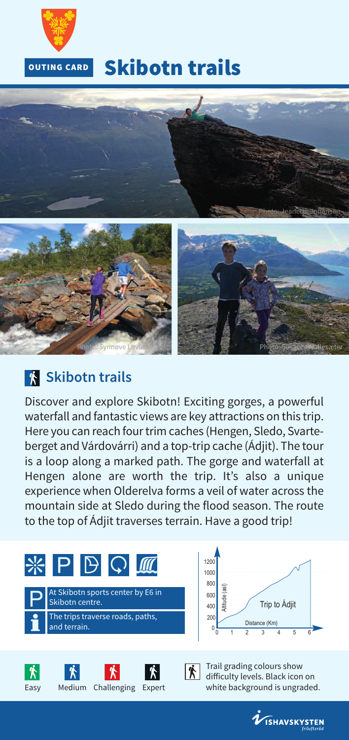

## **Skibotn trails**



## **Skibotn trails**

Discover and explore Skibotn! Exciting gorges, a powerful waterfall and fantastic views are key attractions on this trip. Here you can reach four trim caches (Hengen, Sledo, Svarteberget and Várdovárri) and a top-trip cache (Ádjit). The tour is a loop along a marked path. The gorge and waterfall at Hengen alone are worth the trip. It's also a unique experience when Olderelva forms a veil of water across the mountain side at Sledo during the flood season. The route to the top of Ádjit traverses terrain. Have a good trip!